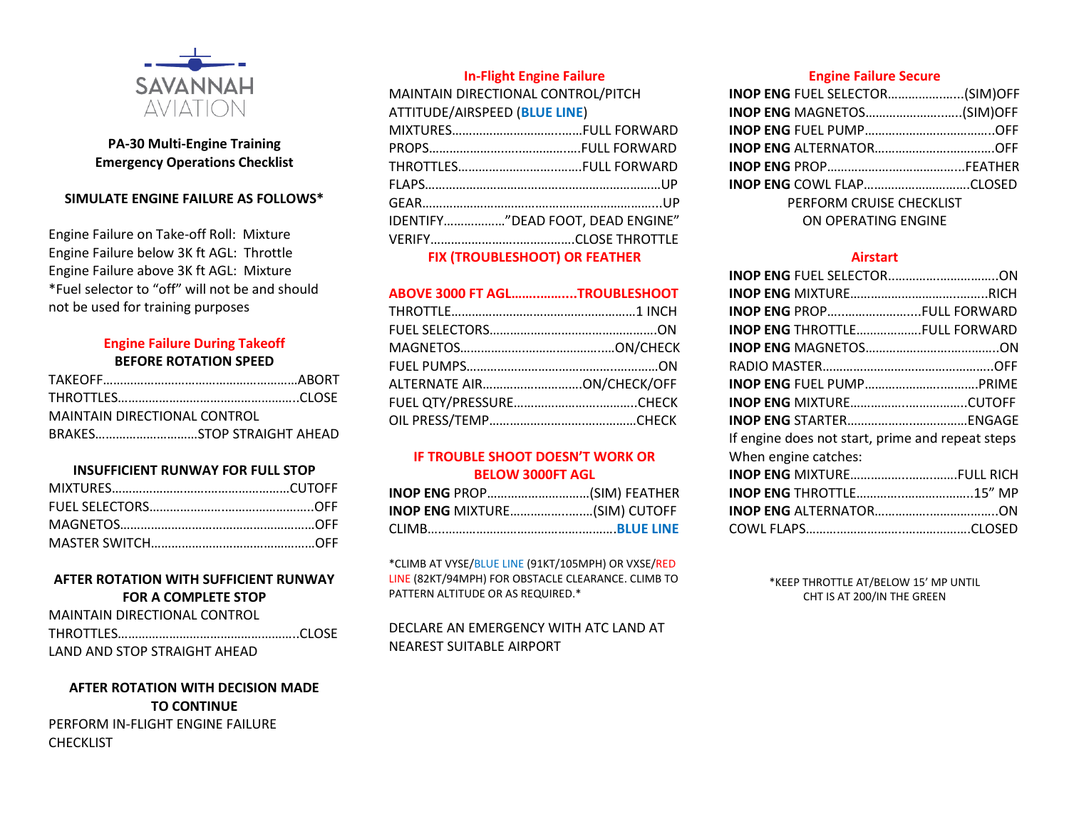

**PA-30 Multi-Engine Training Emergency Operations Checklist**

#### **SIMULATE ENGINE FAILURE AS FOLLOWS\***

Engine Failure on Take-off Roll: Mixture Engine Failure below 3K ft AGL: Throttle Engine Failure above 3K ft AGL: Mixture \*Fuel selector to "off" will not be and should not be used for training purposes

#### **Engine Failure During Takeoff BEFORE ROTATION SPEED**

| <b>MAINTAIN DIRECTIONAL CONTROL</b> |  |  |
|-------------------------------------|--|--|
|                                     |  |  |

#### **INSUFFICIENT RUNWAY FOR FULL STOP**

## **AFTER ROTATION WITH SUFFICIENT RUNWAY FOR A COMPLETE STOP**

| MAINTAIN DIRECTIONAL CONTROL |  |
|------------------------------|--|
|                              |  |
| LAND AND STOP STRAIGHT AHEAD |  |

# **AFTER ROTATION WITH DECISION MADE TO CONTINUE** PERFORM IN-FLIGHT ENGINE FAILURE

CHECKLIST

## **In-Flight Engine Failure**

MAINTAIN DIRECTIONAL CONTROL/PITCH ATTITUDE/AIRSPEED (**BLUE LINE**) MIXTURES…………………………..……FULL FORWARD PROPS………………….…..………….….FULL FORWARD THROTTLES………………………..…….FULL FORWARD FLAPS……………………………………………………………UP GEAR…………………………….……………………………...UP IDENTIFY………………"DEAD FOOT, DEAD ENGINE" VERIFY……………………..…………….CLOSE THROTTLE

**FIX (TROUBLESHOOT) OR FEATHER**

## **ABOVE 3000 FT AGL……..……....TROUBLESHOOT** THROTTLE………………………………………………1 INCH FUEL SELECTORS………………………………………….ON MAGNETOS……………….…………………..…ON/CHECK FUEL PUMPS……………………………………..…………ON ALTERNATE AIR…………….………….ON/CHECK/OFF FUEL QTY/PRESSURE…………………….………..CHECK OIL PRESS/TEMP……………………….……………CHECK

#### **IF TROUBLE SHOOT DOESN'T WORK OR BELOW 3000FT AGL**

| INOP ENG PROP(SIM) FEATHER   |  |
|------------------------------|--|
| INOP ENG MIXTURE(SIM) CUTOFF |  |
|                              |  |

\*CLIMB AT VYSE/BLUE LINE (91KT/105MPH) OR VXSE/RED LINE (82KT/94MPH) FOR OBSTACLE CLEARANCE. CLIMB TO PATTERN ALTITUDE OR AS REQUIRED.\*

### DECLARE AN EMERGENCY WITH ATC LAND AT NEAREST SUITABLE AIRPORT

#### **Engine Failure Secure**

| INOP ENG FUEL SELECTOR(SIM)OFF |  |
|--------------------------------|--|
|                                |  |
|                                |  |
|                                |  |
|                                |  |
|                                |  |
| PERFORM CRUISE CHECKLIST       |  |
| ON OPERATING ENGINE            |  |

#### **Airstart**

| INOP ENG PROPFULL FORWARD                        |  |
|--------------------------------------------------|--|
| INOP ENG THROTTLEFULL FORWARD                    |  |
|                                                  |  |
|                                                  |  |
|                                                  |  |
|                                                  |  |
|                                                  |  |
| If engine does not start, prime and repeat steps |  |
| When engine catches:                             |  |
| INOP ENG MIXTUREFULL RICH                        |  |
| <b>INOP ENG THROTTLE15" MP</b>                   |  |
|                                                  |  |
|                                                  |  |

\*KEEP THROTTLE AT/BELOW 15' MP UNTIL CHT IS AT 200/IN THE GREEN